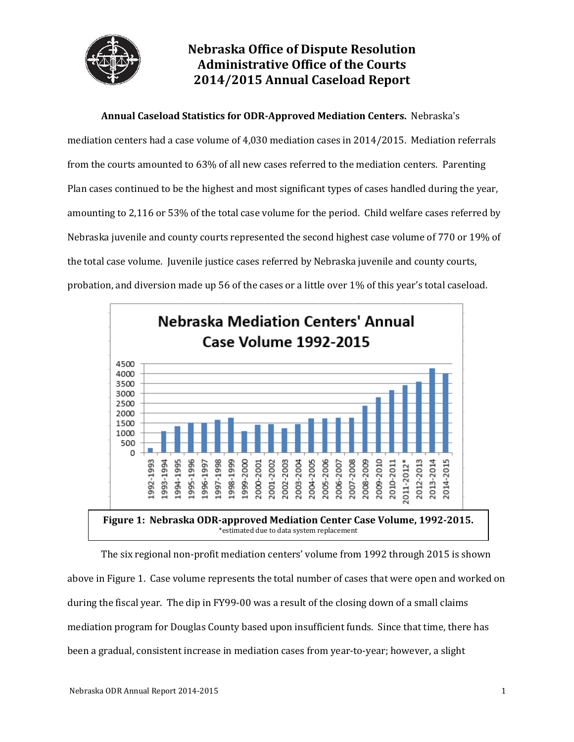

# **Nebraska Office of Dispute Resolution Administrative Office of the Courts 2014/2015 Annual Caseload Report**

**Annual Caseload Statistics for ODR-Approved Mediation Centers.** Nebraska's

mediation centers had a case volume of 4,030 mediation cases in 2014/2015. Mediation referrals from the courts amounted to 63% of all new cases referred to the mediation centers. Parenting Plan cases continued to be the highest and most significant types of cases handled during the year, amounting to 2,116 or 53% of the total case volume for the period. Child welfare cases referred by Nebraska juvenile and county courts represented the second highest case volume of 770 or 19% of the total case volume. Juvenile justice cases referred by Nebraska juvenile and county courts, probation, and diversion made up 56 of the cases or a little over 1% of this year's total caseload.



The six regional non-profit mediation centers' volume from 1992 through 2015 is shown above in Figure 1. Case volume represents the total number of cases that were open and worked on during the fiscal year. The dip in FY99-00 was a result of the closing down of a small claims mediation program for Douglas County based upon insufficient funds. Since that time, there has been a gradual, consistent increase in mediation cases from year-to-year; however, a slight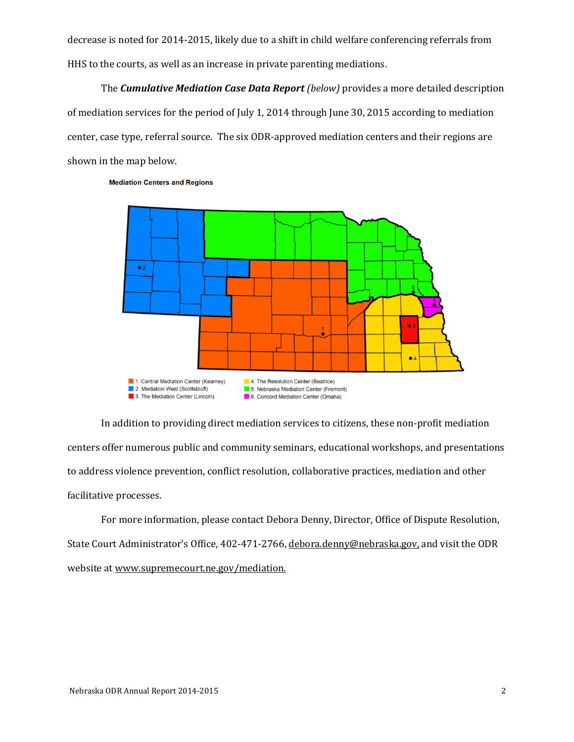decrease is noted for 2014-2015, likely due to a shift in child welfare conferencing referrals from HHS to the courts, as well as an increase in private parenting mediations.

The *Cumulative Mediation Case Data Report (below)* provides a more detailed description of mediation services for the period of July 1, 2014 through June 30, 2015 according to mediation center, case type, referral source. The six ODR-approved mediation centers and their regions are shown in the map below.



**Mediation Centers and Regions** 

In addition to providing direct mediation services to citizens, these non-profit mediation centers offer numerous public and community seminars, educational workshops, and presentations to address violence prevention, conflict resolution, collaborative practices, mediation and other facilitative processes.

For more information, please contact Debora Denny, Director, Office of Dispute Resolution, State Court Administrator's Office, 402-471-2766, [debora.denny@ne](mailto:debora.denny@n)braska.gov, and visit the ODR website a[t www.supremecourt.ne.gov/mediation.](http://www.supremecourt.ne.gov/mediation)